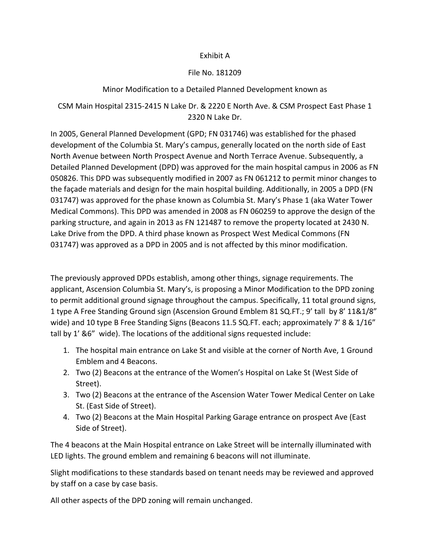## Exhibit A

## File No. 181209

## Minor Modification to a Detailed Planned Development known as

## CSM Main Hospital 2315‐2415 N Lake Dr. & 2220 E North Ave. & CSM Prospect East Phase 1 2320 N Lake Dr.

In 2005, General Planned Development (GPD; FN 031746) was established for the phased development of the Columbia St. Mary's campus, generally located on the north side of East North Avenue between North Prospect Avenue and North Terrace Avenue. Subsequently, a Detailed Planned Development (DPD) was approved for the main hospital campus in 2006 as FN 050826. This DPD was subsequently modified in 2007 as FN 061212 to permit minor changes to the façade materials and design for the main hospital building. Additionally, in 2005 a DPD (FN 031747) was approved for the phase known as Columbia St. Mary's Phase 1 (aka Water Tower Medical Commons). This DPD was amended in 2008 as FN 060259 to approve the design of the parking structure, and again in 2013 as FN 121487 to remove the property located at 2430 N. Lake Drive from the DPD. A third phase known as Prospect West Medical Commons (FN 031747) was approved as a DPD in 2005 and is not affected by this minor modification.

The previously approved DPDs establish, among other things, signage requirements. The applicant, Ascension Columbia St. Mary's, is proposing a Minor Modification to the DPD zoning to permit additional ground signage throughout the campus. Specifically, 11 total ground signs, 1 type A Free Standing Ground sign (Ascension Ground Emblem 81 SQ.FT.; 9' tall by 8' 11&1/8" wide) and 10 type B Free Standing Signs (Beacons 11.5 SQ.FT. each; approximately 7' 8 & 1/16" tall by 1' &6" wide). The locations of the additional signs requested include:

- 1. The hospital main entrance on Lake St and visible at the corner of North Ave, 1 Ground Emblem and 4 Beacons.
- 2. Two (2) Beacons at the entrance of the Women's Hospital on Lake St (West Side of Street).
- 3. Two (2) Beacons at the entrance of the Ascension Water Tower Medical Center on Lake St. (East Side of Street).
- 4. Two (2) Beacons at the Main Hospital Parking Garage entrance on prospect Ave (East Side of Street).

The 4 beacons at the Main Hospital entrance on Lake Street will be internally illuminated with LED lights. The ground emblem and remaining 6 beacons will not illuminate.

Slight modifications to these standards based on tenant needs may be reviewed and approved by staff on a case by case basis.

All other aspects of the DPD zoning will remain unchanged.